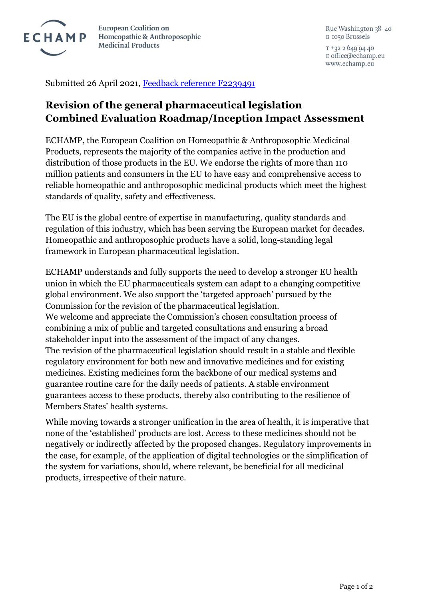

**European Coalition on** Homeopathic & Anthroposophic **Medicinal Products** 

Rue Washington 38-40 B-1050 Brussels

 $T + 3226499440$ E office@echamp.eu www.echamp.eu

Submitted 26 April 2021, [Feedback reference F2239491](https://ec.europa.eu/info/law/better-regulation/have-your-say/initiatives/12963-Evaluation-and-revision-of-the-general-pharmaceutical-legislation/F2239491)

## **Revision of the general pharmaceutical legislation Combined Evaluation Roadmap/Inception Impact Assessment**

ECHAMP, the European Coalition on Homeopathic & Anthroposophic Medicinal Products, represents the majority of the companies active in the production and distribution of those products in the EU. We endorse the rights of more than 110 million patients and consumers in the EU to have easy and comprehensive access to reliable homeopathic and anthroposophic medicinal products which meet the highest standards of quality, safety and effectiveness.

The EU is the global centre of expertise in manufacturing, quality standards and regulation of this industry, which has been serving the European market for decades. Homeopathic and anthroposophic products have a solid, long-standing legal framework in European pharmaceutical legislation.

ECHAMP understands and fully supports the need to develop a stronger EU health union in which the EU pharmaceuticals system can adapt to a changing competitive global environment. We also support the 'targeted approach' pursued by the Commission for the revision of the pharmaceutical legislation. We welcome and appreciate the Commission's chosen consultation process of combining a mix of public and targeted consultations and ensuring a broad stakeholder input into the assessment of the impact of any changes. The revision of the pharmaceutical legislation should result in a stable and flexible regulatory environment for both new and innovative medicines and for existing medicines. Existing medicines form the backbone of our medical systems and guarantee routine care for the daily needs of patients. A stable environment guarantees access to these products, thereby also contributing to the resilience of Members States' health systems.

While moving towards a stronger unification in the area of health, it is imperative that none of the 'established' products are lost. Access to these medicines should not be negatively or indirectly affected by the proposed changes. Regulatory improvements in the case, for example, of the application of digital technologies or the simplification of the system for variations, should, where relevant, be beneficial for all medicinal products, irrespective of their nature.